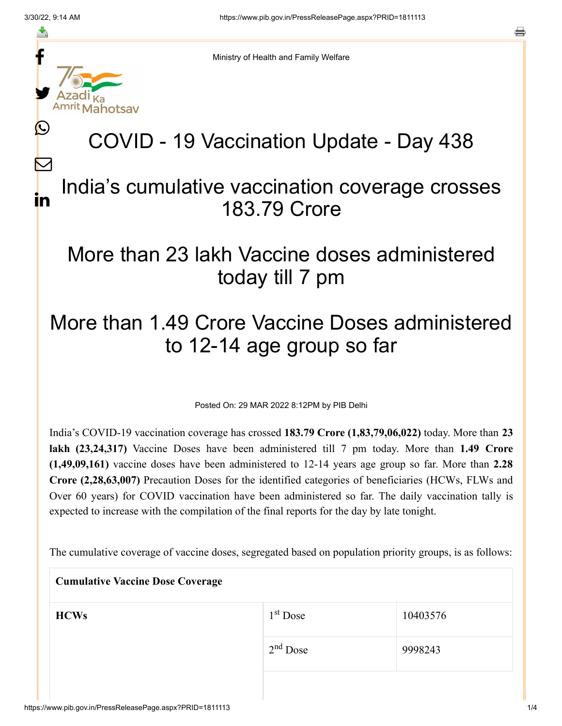f

≛

y.

lahotsav

L

 $\bm{\nabla}$ 

in

Ministry of Health and Family Welfare

# COVID - 19 Vaccination Update - Day 438

#### India's cumulative vaccination coverage crosses 183.79 Crore

## More than 23 lakh Vaccine doses administered today till 7 pm

## More than 1.49 Crore Vaccine Doses administered to 12-14 age group so far

Posted On: 29 MAR 2022 8:12PM by PIB Delhi

India's COVID-19 vaccination coverage has crossed **183.79 Crore (1,83,79,06,022)** today. More than **23 lakh (23,24,317)** Vaccine Doses have been administered till 7 pm today. More than **1.49 Crore (1,49,09,161)** vaccine doses have been administered to 12-14 years age group so far. More than **2.28 Crore (2,28,63,007)** Precaution Doses for the identified categories of beneficiaries (HCWs, FLWs and Over 60 years) for COVID vaccination have been administered so far. The daily vaccination tally is expected to increase with the compilation of the final reports for the day by late tonight.

The cumulative coverage of vaccine doses, segregated based on population priority groups, is as follows:

| <b>Cumulative Vaccine Dose Coverage</b> |            |          |  |
|-----------------------------------------|------------|----------|--|
| <b>HCWs</b>                             | $1st$ Dose | 10403576 |  |
|                                         | $2nd$ Dose | 9998243  |  |
|                                         |            |          |  |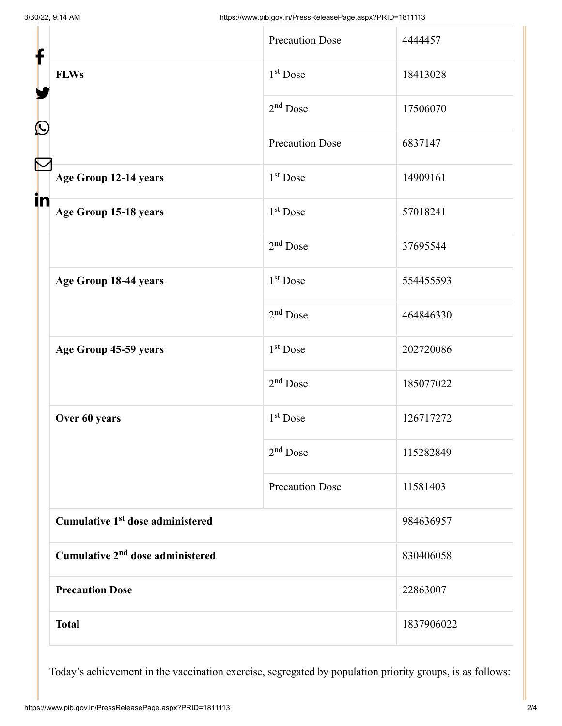| <b>Precaution Dose</b>                       | 4444457    |
|----------------------------------------------|------------|
| $1st$ Dose                                   | 18413028   |
| $2nd$ Dose                                   | 17506070   |
| <b>Precaution Dose</b>                       | 6837147    |
| $1st$ Dose                                   | 14909161   |
| $1st$ Dose                                   | 57018241   |
| $2nd$ Dose                                   | 37695544   |
| 1 <sup>st</sup> Dose                         | 554455593  |
| $2nd$ Dose                                   | 464846330  |
| 1 <sup>st</sup> Dose                         | 202720086  |
| $2nd$ Dose                                   | 185077022  |
| 1 <sup>st</sup> Dose                         | 126717272  |
| $2nd$ Dose                                   | 115282849  |
| <b>Precaution Dose</b>                       | 11581403   |
| Cumulative 1 <sup>st</sup> dose administered |            |
| Cumulative 2 <sup>nd</sup> dose administered |            |
| <b>Precaution Dose</b>                       |            |
|                                              | 1837906022 |
|                                              |            |

Today's achievement in the vaccination exercise, segregated by population priority groups, is as follows: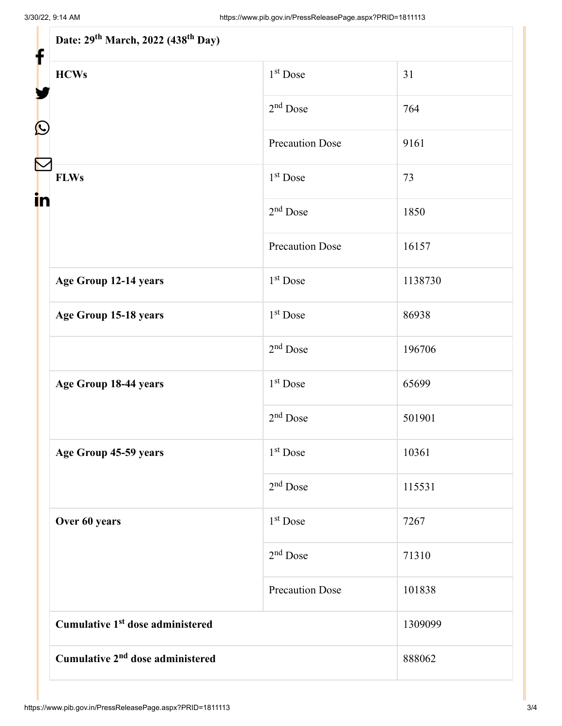| Date: 29 <sup>th</sup> March, 2022 (438 <sup>th</sup> Day)<br>f |                        |         |  |
|-----------------------------------------------------------------|------------------------|---------|--|
| <b>HCWs</b>                                                     | 1 <sup>st</sup> Dose   | 31      |  |
|                                                                 | $2nd$ Dose             | 764     |  |
|                                                                 | <b>Precaution Dose</b> | 9161    |  |
| <b>FLWs</b>                                                     | $1st$ Dose             | 73      |  |
| in                                                              | $2nd$ Dose             | 1850    |  |
|                                                                 | <b>Precaution Dose</b> | 16157   |  |
| Age Group 12-14 years                                           | 1 <sup>st</sup> Dose   | 1138730 |  |
| Age Group 15-18 years                                           | $1st$ Dose             | 86938   |  |
|                                                                 | $2nd$ Dose             | 196706  |  |
| Age Group 18-44 years                                           | 1 <sup>st</sup> Dose   | 65699   |  |
|                                                                 | $2nd$ Dose             | 501901  |  |
| Age Group 45-59 years                                           | $1st$ Dose             | 10361   |  |
|                                                                 | $2nd$ Dose             | 115531  |  |
| Over 60 years                                                   | $1st$ Dose             | 7267    |  |
|                                                                 | $2nd$ Dose             | 71310   |  |
|                                                                 | <b>Precaution Dose</b> | 101838  |  |
| Cumulative 1 <sup>st</sup> dose administered                    |                        | 1309099 |  |
| Cumulative 2 <sup>nd</sup> dose administered                    |                        | 888062  |  |